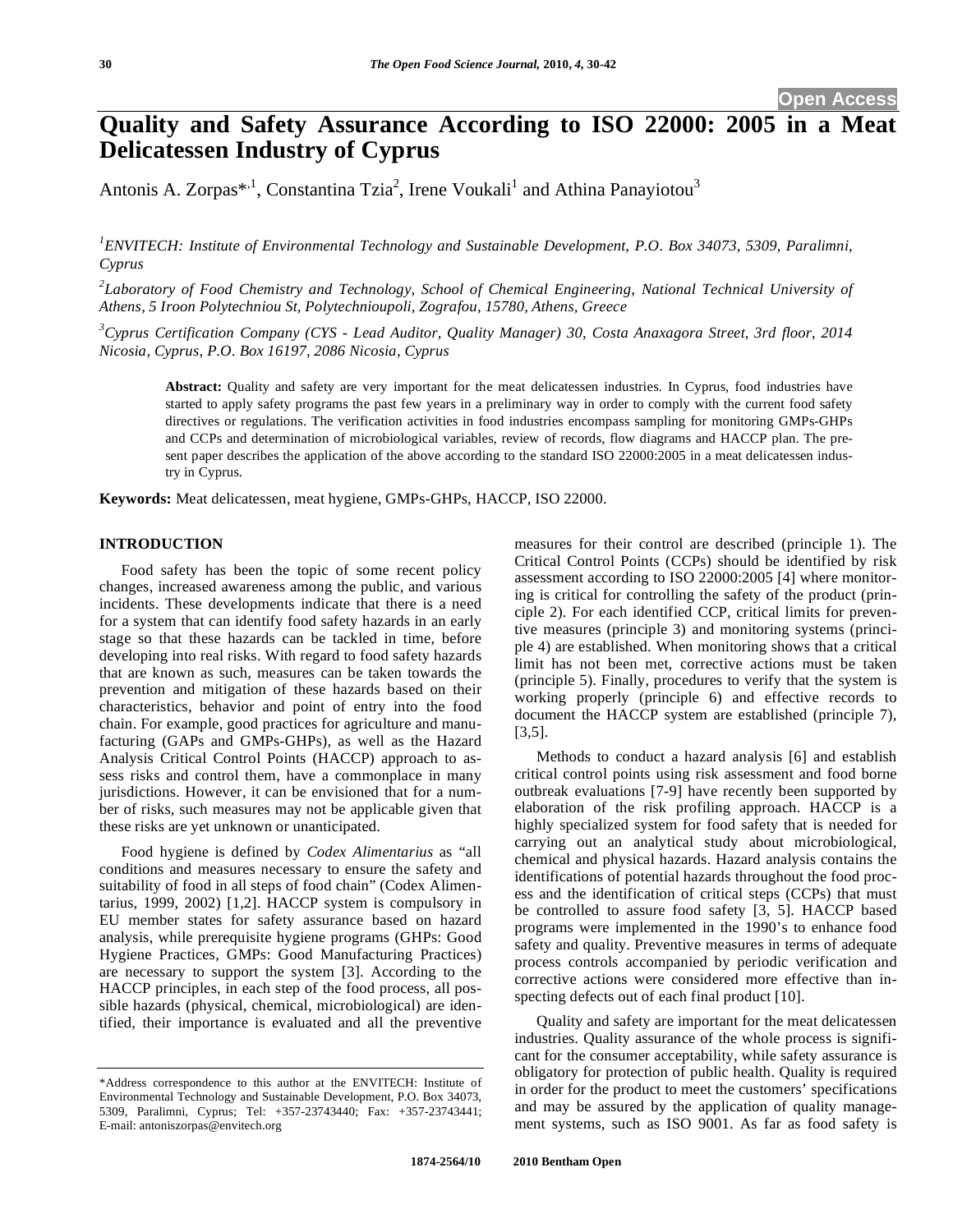# **Quality and Safety Assurance According to ISO 22000: 2005 in a Meat Delicatessen Industry of Cyprus**

Antonis A. Zorpas\*<sup>1</sup>, Constantina Tzia<sup>2</sup>, Irene Voukali<sup>1</sup> and Athina Panayiotou<sup>3</sup>

*1 ENVITECH: Institute of Environmental Technology and Sustainable Development, P.O. Box 34073, 5309, Paralimni, Cyprus* 

<sup>2</sup>Laboratory of Food Chemistry and Technology, School of Chemical Engineering, National Technical University of *Athens, 5 Iroon Polytechniou St, Polytechnioupoli, Zografou, 15780, Athens, Greece* 

*3 Cyprus Certification Company (CYS - Lead Auditor, Quality Manager) 30, Costa Anaxagora Street, 3rd floor, 2014 Nicosia, Cyprus, P.O. Box 16197, 2086 Nicosia, Cyprus* 

**Abstract:** Quality and safety are very important for the meat delicatessen industries. In Cyprus, food industries have started to apply safety programs the past few years in a preliminary way in order to comply with the current food safety directives or regulations. The verification activities in food industries encompass sampling for monitoring GMPs-GHPs and CCPs and determination of microbiological variables, review of records, flow diagrams and HACCP plan. The present paper describes the application of the above according to the standard ISO 22000:2005 in a meat delicatessen industry in Cyprus.

**Keywords:** Meat delicatessen, meat hygiene, GMPs-GHPs, HACCP, ISO 22000.

## **INTRODUCTION**

Food safety has been the topic of some recent policy changes, increased awareness among the public, and various incidents. These developments indicate that there is a need for a system that can identify food safety hazards in an early stage so that these hazards can be tackled in time, before developing into real risks. With regard to food safety hazards that are known as such, measures can be taken towards the prevention and mitigation of these hazards based on their characteristics, behavior and point of entry into the food chain. For example, good practices for agriculture and manufacturing (GAPs and GMPs-GHPs), as well as the Hazard Analysis Critical Control Points (HACCP) approach to assess risks and control them, have a commonplace in many jurisdictions. However, it can be envisioned that for a number of risks, such measures may not be applicable given that these risks are yet unknown or unanticipated.

Food hygiene is defined by *Codex Alimentarius* as "all conditions and measures necessary to ensure the safety and suitability of food in all steps of food chain" (Codex Alimentarius, 1999, 2002) [1,2]. HACCP system is compulsory in EU member states for safety assurance based on hazard analysis, while prerequisite hygiene programs (GHPs: Good Hygiene Practices, GMPs: Good Manufacturing Practices) are necessary to support the system [3]. According to the HACCP principles, in each step of the food process, all possible hazards (physical, chemical, microbiological) are identified, their importance is evaluated and all the preventive

measures for their control are described (principle 1). The Critical Control Points (CCPs) should be identified by risk assessment according to ISO 22000:2005 [4] where monitoring is critical for controlling the safety of the product (principle 2). For each identified CCP, critical limits for preventive measures (principle 3) and monitoring systems (principle 4) are established. When monitoring shows that a critical limit has not been met, corrective actions must be taken (principle 5). Finally, procedures to verify that the system is working properly (principle 6) and effective records to document the HACCP system are established (principle 7), [3,5].

Methods to conduct a hazard analysis [6] and establish critical control points using risk assessment and food borne outbreak evaluations [7-9] have recently been supported by elaboration of the risk profiling approach. HACCP is a highly specialized system for food safety that is needed for carrying out an analytical study about microbiological, chemical and physical hazards. Hazard analysis contains the identifications of potential hazards throughout the food process and the identification of critical steps (CCPs) that must be controlled to assure food safety [3, 5]. HACCP based programs were implemented in the 1990's to enhance food safety and quality. Preventive measures in terms of adequate process controls accompanied by periodic verification and corrective actions were considered more effective than inspecting defects out of each final product [10].

Quality and safety are important for the meat delicatessen industries. Quality assurance of the whole process is significant for the consumer acceptability, while safety assurance is obligatory for protection of public health. Quality is required in order for the product to meet the customers' specifications and may be assured by the application of quality management systems, such as ISO 9001. As far as food safety is

<sup>\*</sup>Address correspondence to this author at the ENVITECH: Institute of Environmental Technology and Sustainable Development, P.O. Box 34073, 5309, Paralimni, Cyprus; Tel: +357-23743440; Fax: +357-23743441; E-mail: antoniszorpas@envitech.org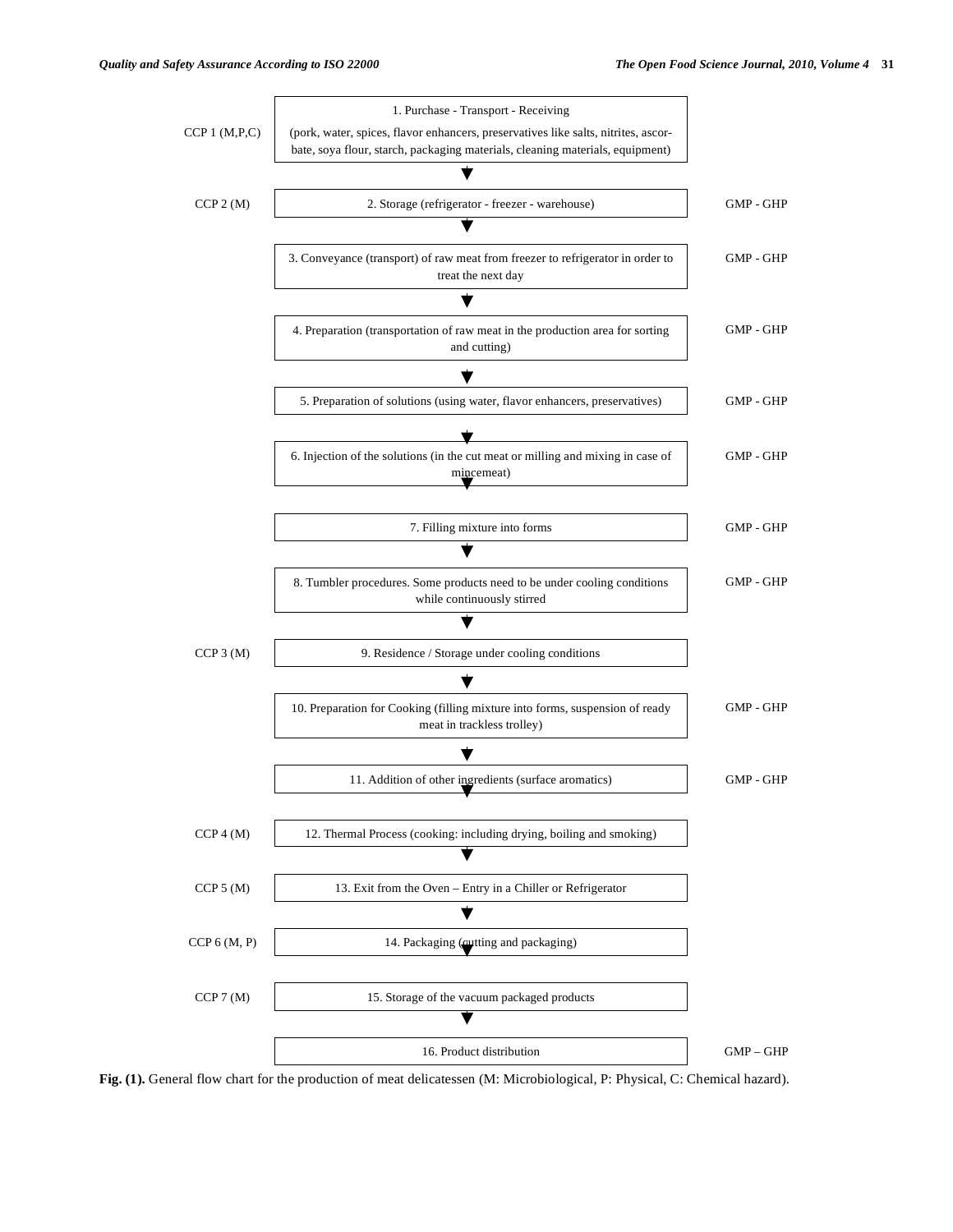

**Fig. (1).** General flow chart for the production of meat delicatessen (M: Microbiological, P: Physical, C: Chemical hazard).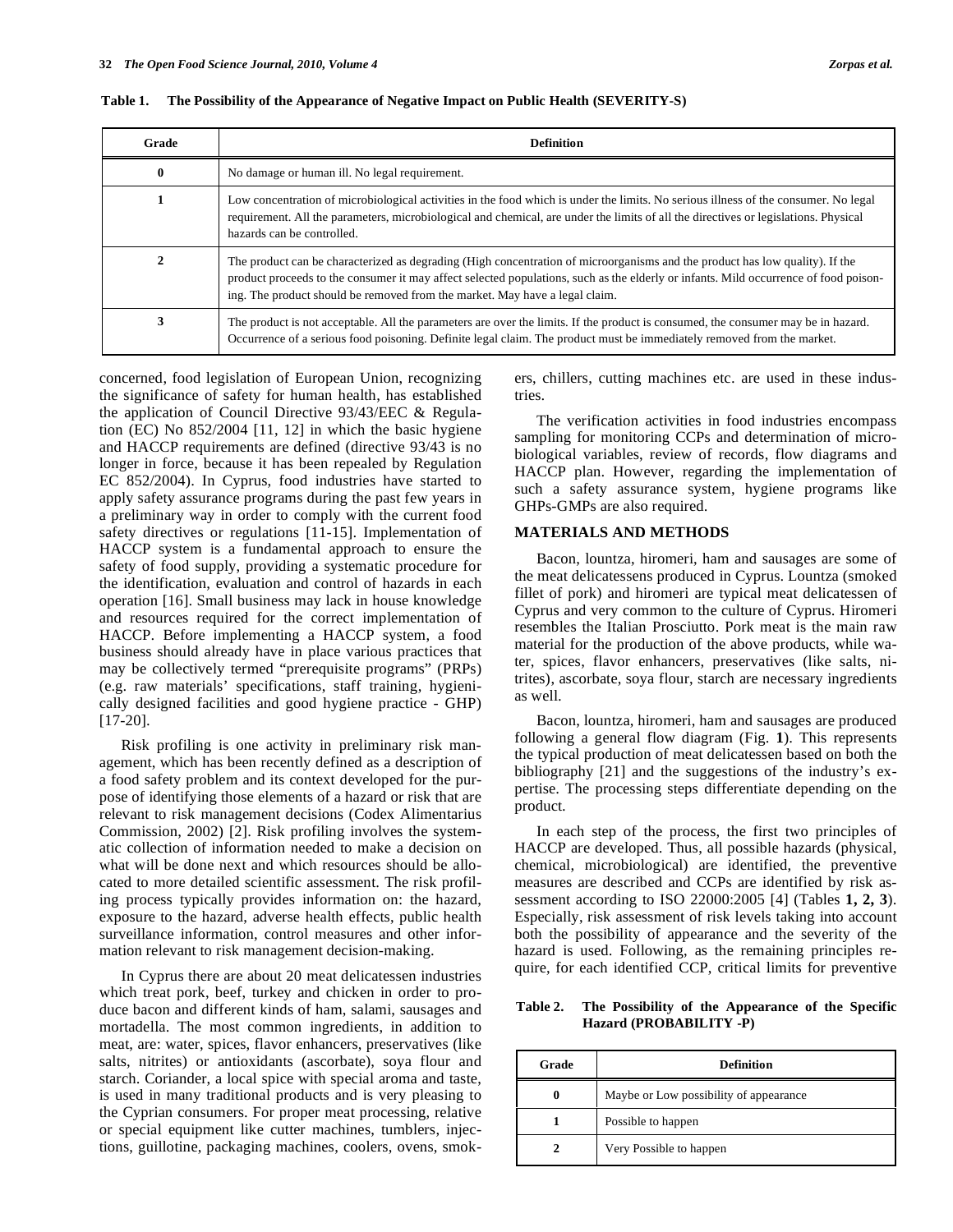| Grade        | <b>Definition</b>                                                                                                                                                                                                                                                                                                                                   |
|--------------|-----------------------------------------------------------------------------------------------------------------------------------------------------------------------------------------------------------------------------------------------------------------------------------------------------------------------------------------------------|
| $\mathbf{0}$ | No damage or human ill. No legal requirement.                                                                                                                                                                                                                                                                                                       |
|              | Low concentration of microbiological activities in the food which is under the limits. No serious illness of the consumer. No legal<br>requirement. All the parameters, microbiological and chemical, are under the limits of all the directives or legislations. Physical<br>hazards can be controlled.                                            |
|              | The product can be characterized as degrading (High concentration of microorganisms and the product has low quality). If the<br>product proceeds to the consumer it may affect selected populations, such as the elderly or infants. Mild occurrence of food poison-<br>ing. The product should be removed from the market. May have a legal claim. |
|              | The product is not acceptable. All the parameters are over the limits. If the product is consumed, the consumer may be in hazard.<br>Occurrence of a serious food poisoning. Definite legal claim. The product must be immediately removed from the market.                                                                                         |

**Table 1. The Possibility of the Appearance of Negative Impact on Public Health (SEVERITY-S)** 

concerned, food legislation of European Union, recognizing the significance of safety for human health, has established the application of Council Directive 93/43/EEC & Regulation (EC) No 852/2004 [11, 12] in which the basic hygiene and HACCP requirements are defined (directive 93/43 is no longer in force, because it has been repealed by Regulation EC 852/2004). In Cyprus, food industries have started to apply safety assurance programs during the past few years in a preliminary way in order to comply with the current food safety directives or regulations [11-15]. Implementation of HACCP system is a fundamental approach to ensure the safety of food supply, providing a systematic procedure for the identification, evaluation and control of hazards in each operation [16]. Small business may lack in house knowledge and resources required for the correct implementation of HACCP. Before implementing a HACCP system, a food business should already have in place various practices that may be collectively termed "prerequisite programs" (PRPs) (e.g. raw materials' specifications, staff training, hygienically designed facilities and good hygiene practice - GHP) [17-20].

Risk profiling is one activity in preliminary risk management, which has been recently defined as a description of a food safety problem and its context developed for the purpose of identifying those elements of a hazard or risk that are relevant to risk management decisions (Codex Alimentarius Commission, 2002) [2]. Risk profiling involves the systematic collection of information needed to make a decision on what will be done next and which resources should be allocated to more detailed scientific assessment. The risk profiling process typically provides information on: the hazard, exposure to the hazard, adverse health effects, public health surveillance information, control measures and other information relevant to risk management decision-making.

In Cyprus there are about 20 meat delicatessen industries which treat pork, beef, turkey and chicken in order to produce bacon and different kinds of ham, salami, sausages and mortadella. The most common ingredients, in addition to meat, are: water, spices, flavor enhancers, preservatives (like salts, nitrites) or antioxidants (ascorbate), soya flour and starch. Coriander, a local spice with special aroma and taste, is used in many traditional products and is very pleasing to the Cyprian consumers. For proper meat processing, relative or special equipment like cutter machines, tumblers, injections, guillotine, packaging machines, coolers, ovens, smokers, chillers, cutting machines etc. are used in these industries.

The verification activities in food industries encompass sampling for monitoring CCPs and determination of microbiological variables, review of records, flow diagrams and HACCP plan. However, regarding the implementation of such a safety assurance system, hygiene programs like GHPs-GMPs are also required.

#### **MATERIALS AND METHODS**

Bacon, lountza, hiromeri, ham and sausages are some of the meat delicatessens produced in Cyprus. Lountza (smoked fillet of pork) and hiromeri are typical meat delicatessen of Cyprus and very common to the culture of Cyprus. Hiromeri resembles the Italian Prosciutto. Pork meat is the main raw material for the production of the above products, while water, spices, flavor enhancers, preservatives (like salts, nitrites), ascorbate, soya flour, starch are necessary ingredients as well.

Bacon, lountza, hiromeri, ham and sausages are produced following a general flow diagram (Fig. **1**). This represents the typical production of meat delicatessen based on both the bibliography [21] and the suggestions of the industry's expertise. The processing steps differentiate depending on the product.

In each step of the process, the first two principles of HACCP are developed. Thus, all possible hazards (physical, chemical, microbiological) are identified, the preventive measures are described and CCPs are identified by risk assessment according to ISO 22000:2005 [4] (Tables **1, 2, 3**). Especially, risk assessment of risk levels taking into account both the possibility of appearance and the severity of the hazard is used. Following, as the remaining principles require, for each identified CCP, critical limits for preventive

**Table 2. The Possibility of the Appearance of the Specific Hazard (PROBABILITY -P)** 

| Grade | <b>Definition</b>                      |
|-------|----------------------------------------|
| 0     | Maybe or Low possibility of appearance |
|       | Possible to happen                     |
| 2     | Very Possible to happen                |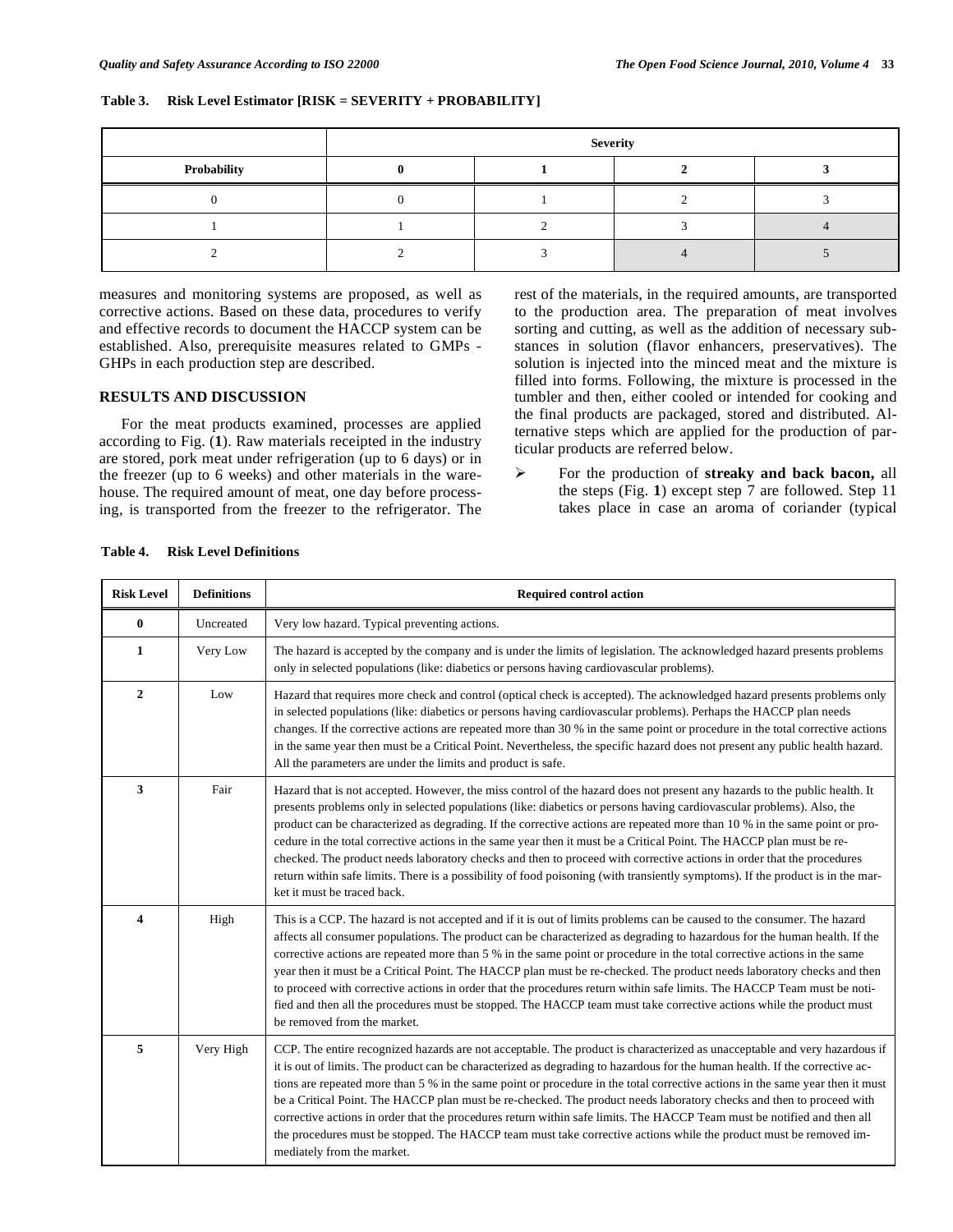### **Table 3. Risk Level Estimator [RISK = SEVERITY + PROBABILITY]**

|             | <b>Severity</b> |  |  |  |
|-------------|-----------------|--|--|--|
| Probability |                 |  |  |  |
|             |                 |  |  |  |
|             |                 |  |  |  |
|             |                 |  |  |  |

measures and monitoring systems are proposed, as well as corrective actions. Based on these data, procedures to verify and effective records to document the HACCP system can be established. Also, prerequisite measures related to GMPs - GHPs in each production step are described.

### **RESULTS AND DISCUSSION**

For the meat products examined, processes are applied according to Fig. (**1**). Raw materials receipted in the industry are stored, pork meat under refrigeration (up to 6 days) or in the freezer (up to 6 weeks) and other materials in the warehouse. The required amount of meat, one day before processing, is transported from the freezer to the refrigerator. The

rest of the materials, in the required amounts, are transported to the production area. The preparation of meat involves sorting and cutting, as well as the addition of necessary substances in solution (flavor enhancers, preservatives). The solution is injected into the minced meat and the mixture is filled into forms. Following, the mixture is processed in the tumbler and then, either cooled or intended for cooking and the final products are packaged, stored and distributed. Alternative steps which are applied for the production of particular products are referred below.

 $\blacktriangleright$  For the production of **streaky and back bacon,** all the steps (Fig. **1**) except step 7 are followed. Step 11 takes place in case an aroma of coriander (typical

| <b>Risk Level</b>       | <b>Definitions</b> | <b>Required control action</b>                                                                                                                                                                                                                                                                                                                                                                                                                                                                                                                                                                                                                                                                                                                                                                      |
|-------------------------|--------------------|-----------------------------------------------------------------------------------------------------------------------------------------------------------------------------------------------------------------------------------------------------------------------------------------------------------------------------------------------------------------------------------------------------------------------------------------------------------------------------------------------------------------------------------------------------------------------------------------------------------------------------------------------------------------------------------------------------------------------------------------------------------------------------------------------------|
| $\bf{0}$                | Uncreated          | Very low hazard. Typical preventing actions.                                                                                                                                                                                                                                                                                                                                                                                                                                                                                                                                                                                                                                                                                                                                                        |
| $\mathbf{1}$            | Very Low           | The hazard is accepted by the company and is under the limits of legislation. The acknowledged hazard presents problems<br>only in selected populations (like: diabetics or persons having cardiovascular problems).                                                                                                                                                                                                                                                                                                                                                                                                                                                                                                                                                                                |
| $\overline{2}$          | Low                | Hazard that requires more check and control (optical check is accepted). The acknowledged hazard presents problems only<br>in selected populations (like: diabetics or persons having cardiovascular problems). Perhaps the HACCP plan needs<br>changes. If the corrective actions are repeated more than 30 % in the same point or procedure in the total corrective actions<br>in the same year then must be a Critical Point. Nevertheless, the specific hazard does not present any public health hazard.<br>All the parameters are under the limits and product is safe.                                                                                                                                                                                                                       |
| 3                       | Fair               | Hazard that is not accepted. However, the miss control of the hazard does not present any hazards to the public health. It<br>presents problems only in selected populations (like: diabetics or persons having cardiovascular problems). Also, the<br>product can be characterized as degrading. If the corrective actions are repeated more than 10 % in the same point or pro-<br>cedure in the total corrective actions in the same year then it must be a Critical Point. The HACCP plan must be re-<br>checked. The product needs laboratory checks and then to proceed with corrective actions in order that the procedures<br>return within safe limits. There is a possibility of food poisoning (with transiently symptoms). If the product is in the mar-<br>ket it must be traced back. |
| $\overline{\mathbf{4}}$ | High               | This is a CCP. The hazard is not accepted and if it is out of limits problems can be caused to the consumer. The hazard<br>affects all consumer populations. The product can be characterized as degrading to hazardous for the human health. If the<br>corrective actions are repeated more than 5 % in the same point or procedure in the total corrective actions in the same<br>year then it must be a Critical Point. The HACCP plan must be re-checked. The product needs laboratory checks and then<br>to proceed with corrective actions in order that the procedures return within safe limits. The HACCP Team must be noti-<br>fied and then all the procedures must be stopped. The HACCP team must take corrective actions while the product must<br>be removed from the market.        |
| 5                       | Very High          | CCP. The entire recognized hazards are not acceptable. The product is characterized as unacceptable and very hazardous if<br>it is out of limits. The product can be characterized as degrading to hazardous for the human health. If the corrective ac-<br>tions are repeated more than 5 % in the same point or procedure in the total corrective actions in the same year then it must<br>be a Critical Point. The HACCP plan must be re-checked. The product needs laboratory checks and then to proceed with<br>corrective actions in order that the procedures return within safe limits. The HACCP Team must be notified and then all<br>the procedures must be stopped. The HACCP team must take corrective actions while the product must be removed im-<br>mediately from the market.     |

#### **Table 4. Risk Level Definitions**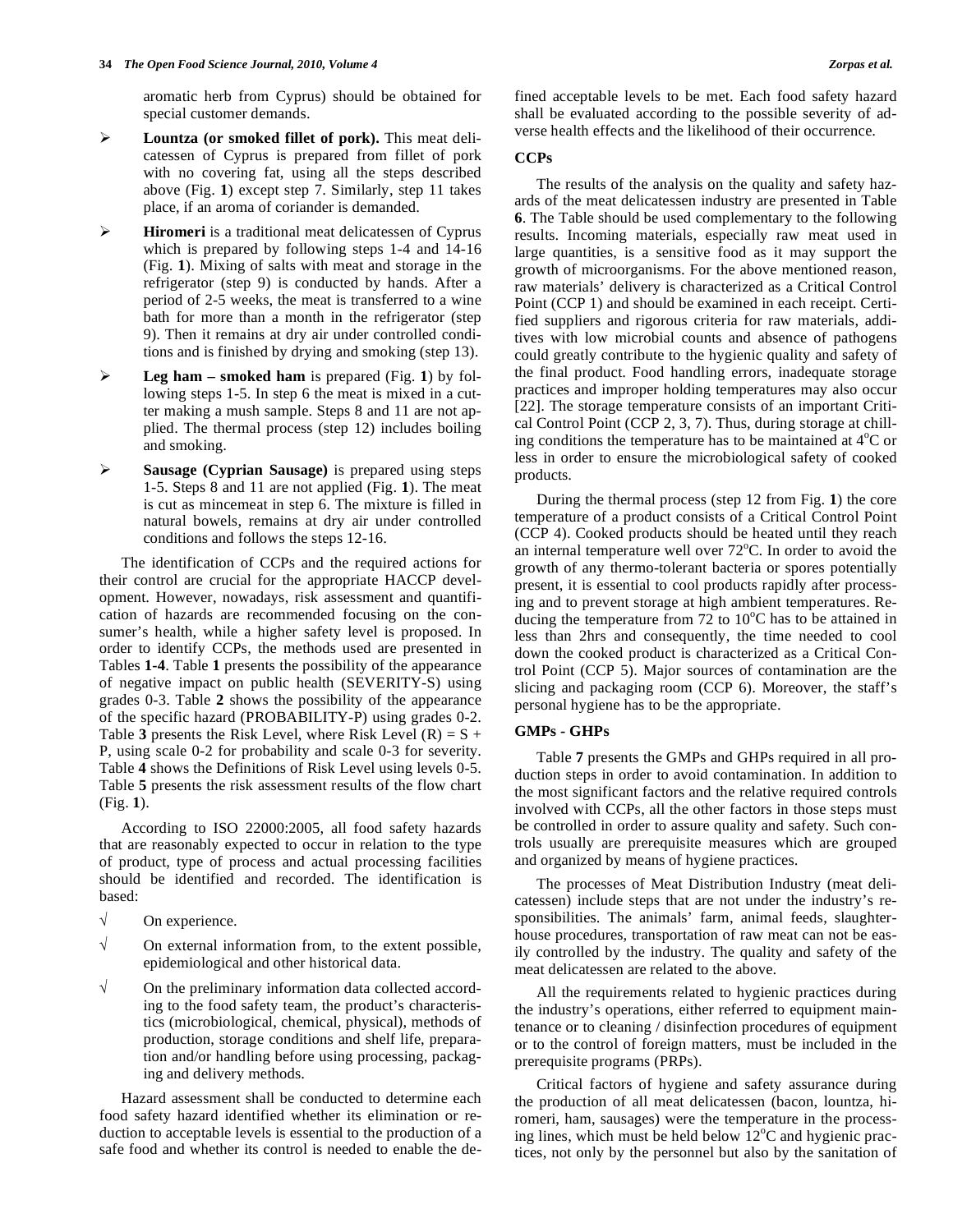aromatic herb from Cyprus) should be obtained for special customer demands.

- $\blacktriangleright$  **Lountza (or smoked fillet of pork).** This meat delicatessen of Cyprus is prepared from fillet of pork with no covering fat, using all the steps described above (Fig. **1**) except step 7. Similarly, step 11 takes place, if an aroma of coriander is demanded.
- $\blacktriangleright$  **Hiromeri** is a traditional meat delicatessen of Cyprus which is prepared by following steps 1-4 and 14-16 (Fig. **1**). Mixing of salts with meat and storage in the refrigerator (step 9) is conducted by hands. After a period of 2-5 weeks, the meat is transferred to a wine bath for more than a month in the refrigerator (step 9). Then it remains at dry air under controlled conditions and is finished by drying and smoking (step 13).
- $\blacktriangleright$  **Leg ham – smoked ham** is prepared (Fig. **1**) by following steps 1-5. In step 6 the meat is mixed in a cutter making a mush sample. Steps 8 and 11 are not applied. The thermal process (step 12) includes boiling and smoking.
- $\blacktriangleright$  **Sausage (Cyprian Sausage)** is prepared using steps 1-5. Steps 8 and 11 are not applied (Fig. **1**). The meat is cut as mincemeat in step 6. The mixture is filled in natural bowels, remains at dry air under controlled conditions and follows the steps 12-16.

The identification of CCPs and the required actions for their control are crucial for the appropriate HACCP development. However, nowadays, risk assessment and quantification of hazards are recommended focusing on the consumer's health, while a higher safety level is proposed. In order to identify CCPs, the methods used are presented in Tables **1-4**. Table **1** presents the possibility of the appearance of negative impact on public health (SEVERITY-S) using grades 0-3. Table **2** shows the possibility of the appearance of the specific hazard (PROBABILITY-P) using grades 0-2. Table **3** presents the Risk Level, where Risk Level  $(R) = S +$ P, using scale 0-2 for probability and scale 0-3 for severity. Table **4** shows the Definitions of Risk Level using levels 0-5. Table **5** presents the risk assessment results of the flow chart (Fig. **1**).

According to ISO 22000:2005, all food safety hazards that are reasonably expected to occur in relation to the type of product, type of process and actual processing facilities should be identified and recorded. The identification is based:

- $\sqrt{\phantom{a}}$  On experience.
- $\sqrt{\phantom{a}}$  On external information from, to the extent possible, epidemiological and other historical data.
- $\sqrt{\phantom{a}}$  On the preliminary information data collected according to the food safety team, the product's characteristics (microbiological, chemical, physical), methods of production, storage conditions and shelf life, preparation and/or handling before using processing, packaging and delivery methods.

Hazard assessment shall be conducted to determine each food safety hazard identified whether its elimination or reduction to acceptable levels is essential to the production of a safe food and whether its control is needed to enable the defined acceptable levels to be met. Each food safety hazard shall be evaluated according to the possible severity of adverse health effects and the likelihood of their occurrence.

#### **CCPs**

The results of the analysis on the quality and safety hazards of the meat delicatessen industry are presented in Table **6**. The Table should be used complementary to the following results. Incoming materials, especially raw meat used in large quantities, is a sensitive food as it may support the growth of microorganisms. For the above mentioned reason, raw materials' delivery is characterized as a Critical Control Point (CCP 1) and should be examined in each receipt. Certified suppliers and rigorous criteria for raw materials, additives with low microbial counts and absence of pathogens could greatly contribute to the hygienic quality and safety of the final product. Food handling errors, inadequate storage practices and improper holding temperatures may also occur [22]. The storage temperature consists of an important Critical Control Point (CCP 2, 3, 7). Thus, during storage at chilling conditions the temperature has to be maintained at  $4^{\circ}$ C or less in order to ensure the microbiological safety of cooked products.

During the thermal process (step 12 from Fig. **1**) the core temperature of a product consists of a Critical Control Point (CCP 4). Cooked products should be heated until they reach an internal temperature well over  $72^{\circ}$ C. In order to avoid the growth of any thermo-tolerant bacteria or spores potentially present, it is essential to cool products rapidly after processing and to prevent storage at high ambient temperatures. Reducing the temperature from  $72$  to  $10^{\circ}$ C has to be attained in less than 2hrs and consequently, the time needed to cool down the cooked product is characterized as a Critical Control Point (CCP 5). Major sources of contamination are the slicing and packaging room (CCP 6). Moreover, the staff's personal hygiene has to be the appropriate.

#### **GMPs - GHPs**

Table **7** presents the GMPs and GHPs required in all production steps in order to avoid contamination. In addition to the most significant factors and the relative required controls involved with CCPs, all the other factors in those steps must be controlled in order to assure quality and safety. Such controls usually are prerequisite measures which are grouped and organized by means of hygiene practices.

The processes of Meat Distribution Industry (meat delicatessen) include steps that are not under the industry's responsibilities. The animals' farm, animal feeds, slaughterhouse procedures, transportation of raw meat can not be easily controlled by the industry. The quality and safety of the meat delicatessen are related to the above.

All the requirements related to hygienic practices during the industry's operations, either referred to equipment maintenance or to cleaning / disinfection procedures of equipment or to the control of foreign matters, must be included in the prerequisite programs (PRPs).

Critical factors of hygiene and safety assurance during the production of all meat delicatessen (bacon, lountza, hiromeri, ham, sausages) were the temperature in the processing lines, which must be held below  $12^{\circ}$ C and hygienic practices, not only by the personnel but also by the sanitation of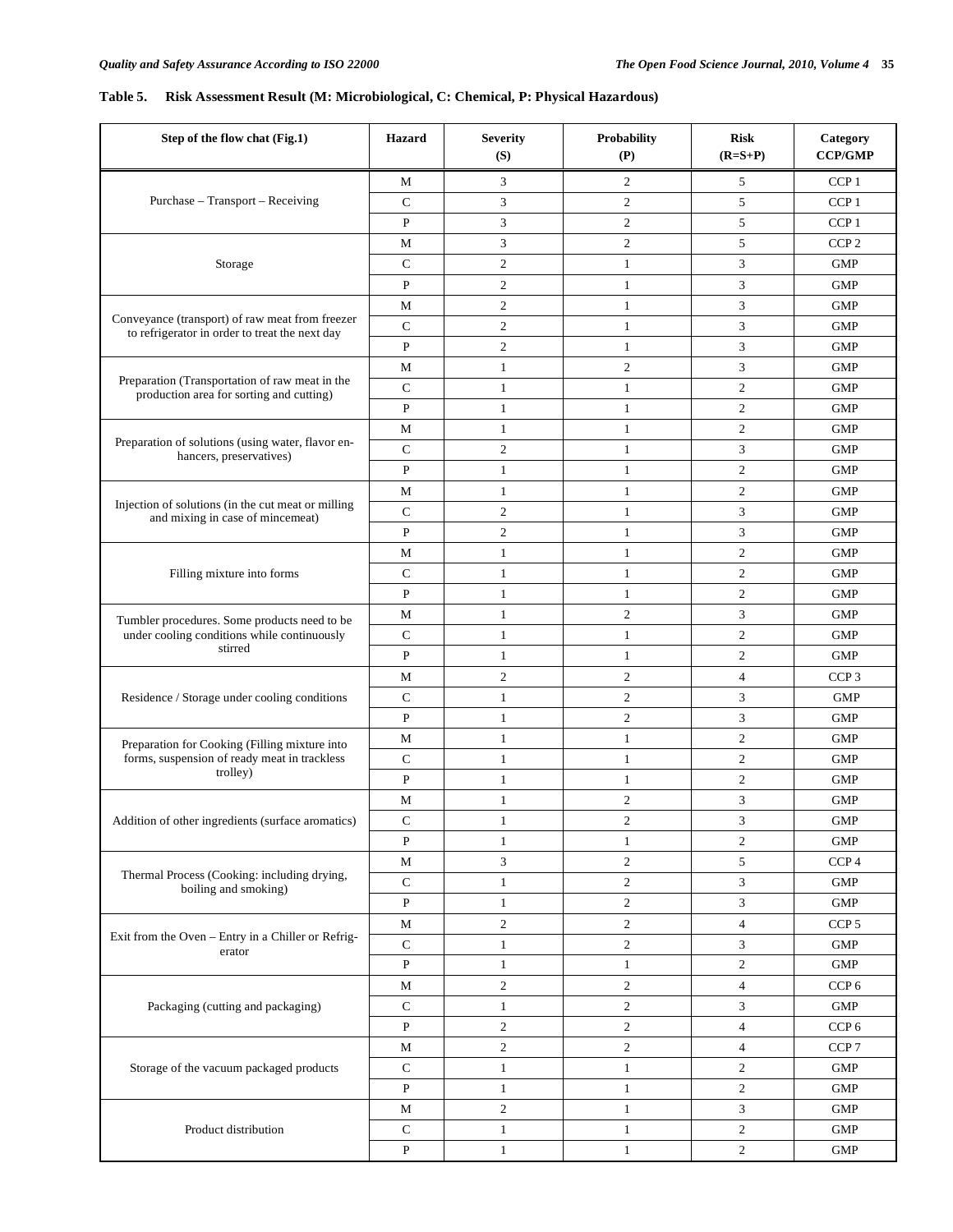## **Table 5. Risk Assessment Result (M: Microbiological, C: Chemical, P: Physical Hazardous)**

| Step of the flow chat (Fig.1)                                                                     | <b>Hazard</b>  | <b>Severity</b><br>(S) | Probability<br>(P) | <b>Risk</b><br>$(R=S+P)$ | Category<br>CCP/GMP |
|---------------------------------------------------------------------------------------------------|----------------|------------------------|--------------------|--------------------------|---------------------|
|                                                                                                   | М              | 3                      | $\overline{c}$     | 5                        | CCP <sub>1</sub>    |
| Purchase - Transport - Receiving                                                                  | $\mathsf{C}$   | 3                      | $\overline{c}$     | 5                        | CCP <sub>1</sub>    |
|                                                                                                   | ${\bf P}$      | 3                      | $\overline{c}$     | 5                        | $CCP1$              |
|                                                                                                   | M              | 3                      | $\overline{c}$     | 5                        | CCP <sub>2</sub>    |
| Storage                                                                                           | C              | $\overline{c}$         | $\mathbf{1}$       | 3                        | <b>GMP</b>          |
|                                                                                                   | P              | 2                      | $\mathbf{1}$       | 3                        | <b>GMP</b>          |
|                                                                                                   | М              | $\overline{c}$         | $\mathbf{1}$       | 3                        | <b>GMP</b>          |
| Conveyance (transport) of raw meat from freezer<br>to refrigerator in order to treat the next day | $\mathsf{C}$   | $\overline{c}$         | $\mathbf{1}$       | 3                        | <b>GMP</b>          |
|                                                                                                   | ${\bf P}$      | $\overline{c}$         | $\mathbf{1}$       | 3                        | <b>GMP</b>          |
|                                                                                                   | M              | $\mathbf{1}$           | $\mathfrak{2}$     | 3                        | <b>GMP</b>          |
| Preparation (Transportation of raw meat in the<br>production area for sorting and cutting)        | $\mathsf{C}$   | $\mathbf{1}$           | $\mathbf{1}$       | $\overline{c}$           | <b>GMP</b>          |
|                                                                                                   | ${\bf P}$      | $\mathbf{1}$           | $\mathbf{1}$       | $\overline{c}$           | <b>GMP</b>          |
|                                                                                                   | M              | $\mathbf{1}$           | $\mathbf{1}$       | $\mathfrak{2}$           | <b>GMP</b>          |
| Preparation of solutions (using water, flavor en-<br>hancers, preservatives)                      | $\overline{C}$ | $\overline{c}$         | $\mathbf{1}$       | 3                        | <b>GMP</b>          |
|                                                                                                   | $\mathbf{P}$   | $\mathbf{1}$           | $\mathbf{1}$       | $\overline{c}$           | <b>GMP</b>          |
|                                                                                                   | М              | $\mathbf{1}$           | $\mathbf{1}$       | $\overline{c}$           | <b>GMP</b>          |
| Injection of solutions (in the cut meat or milling<br>and mixing in case of mincemeat)            | $\mathsf{C}$   | $\overline{c}$         | $\mathbf{1}$       | 3                        | <b>GMP</b>          |
|                                                                                                   | P              | $\overline{c}$         | $\mathbf{1}$       | 3                        | <b>GMP</b>          |
|                                                                                                   | М              | $\mathbf{1}$           | $\mathbf{1}$       | $\overline{c}$           | <b>GMP</b>          |
| Filling mixture into forms                                                                        | $\mathsf{C}$   | $\mathbf{1}$           | $\mathbf{1}$       | $\mathfrak{2}$           | <b>GMP</b>          |
|                                                                                                   | ${\bf P}$      | $\mathbf{1}$           | $\mathbf{1}$       | $\mathfrak{2}$           | <b>GMP</b>          |
| Tumbler procedures. Some products need to be                                                      | M              | $\mathbf{1}$           | $\mathfrak{2}$     | 3                        | <b>GMP</b>          |
| under cooling conditions while continuously                                                       | $\mathsf{C}$   | $\mathbf{1}$           | $\mathbf{1}$       | $\overline{c}$           | <b>GMP</b>          |
| stirred                                                                                           | $\mathbf{P}$   | $\mathbf{1}$           | $\mathbf{1}$       | $\overline{c}$           | <b>GMP</b>          |
|                                                                                                   | М              | $\overline{c}$         | $\overline{c}$     | $\overline{4}$           | CCP <sub>3</sub>    |
| Residence / Storage under cooling conditions                                                      | $\mathsf{C}$   | $\mathbf{1}$           | $\overline{c}$     | 3                        | <b>GMP</b>          |
|                                                                                                   | ${\bf P}$      | $\mathbf{1}$           | $\overline{c}$     | 3                        | <b>GMP</b>          |
| Preparation for Cooking (Filling mixture into                                                     | M              | $\mathbf{1}$           | $\mathbf{1}$       | $\overline{c}$           | <b>GMP</b>          |
| forms, suspension of ready meat in trackless                                                      | C              | $\mathbf{1}$           | $\mathbf{1}$       | $\overline{c}$           | <b>GMP</b>          |
| trolley)                                                                                          | P              | $\mathbf{1}$           | $\mathbf{1}$       | $\overline{c}$           | <b>GMP</b>          |
|                                                                                                   | М              | 1                      | $\overline{c}$     | 3                        | <b>GMP</b>          |
| Addition of other ingredients (surface aromatics)                                                 | $\mathsf{C}$   | 1                      | $\boldsymbol{2}$   | 3                        | ${\rm GMP}$         |
|                                                                                                   | P              | $\mathbf{1}$           | $\mathbf{1}$       | $\overline{c}$           | <b>GMP</b>          |
|                                                                                                   | $\mathbf M$    | 3                      | $\overline{c}$     | 5                        | CCP <sub>4</sub>    |
| Thermal Process (Cooking: including drying,<br>boiling and smoking)                               | $\mathbf C$    | $\mathbf{1}$           | $\boldsymbol{2}$   | 3                        | <b>GMP</b>          |
|                                                                                                   | ${\bf P}$      | $\mathbf{1}$           | $\overline{c}$     | 3                        | ${\rm GMP}$         |
|                                                                                                   | M              | $\overline{c}$         | $\overline{c}$     | $\overline{4}$           | CCP <sub>5</sub>    |
| Exit from the Oven - Entry in a Chiller or Refrig-                                                | $\mathbf C$    | $\mathbf{1}$           | $\sqrt{2}$         | 3                        | <b>GMP</b>          |
| erator                                                                                            | ${\bf P}$      | $\mathbf{1}$           | $\mathbf{1}$       | $\overline{c}$           | ${\rm GMP}$         |
|                                                                                                   | $\mathbf M$    | $\overline{c}$         | $\boldsymbol{2}$   | 4                        | CCP <sub>6</sub>    |
| Packaging (cutting and packaging)                                                                 | ${\bf C}$      | $\mathbf{1}$           | $\overline{c}$     | 3                        | ${\rm GMP}$         |
|                                                                                                   | P              | $\overline{2}$         | $\overline{c}$     | $\overline{4}$           | CCP <sub>6</sub>    |
|                                                                                                   | M              | $\overline{c}$         | $\overline{c}$     | $\overline{4}$           | CCP <sub>7</sub>    |
| Storage of the vacuum packaged products                                                           | ${\bf C}$      | $\mathbf{1}$           | $\mathbf{1}$       | $\boldsymbol{2}$         | <b>GMP</b>          |
|                                                                                                   | ${\bf P}$      | $\mathbf{1}$           | $\mathbf{1}$       | $\overline{c}$           | <b>GMP</b>          |
|                                                                                                   | $\mathbf M$    | $\overline{c}$         | $\mathbf{1}$       | 3                        | ${\rm GMP}$         |
| Product distribution                                                                              | ${\bf C}$      | $\mathbf{1}$           | $\mathbf{1}$       | $\boldsymbol{2}$         | <b>GMP</b>          |
|                                                                                                   | ${\bf P}$      | $\mathbf{1}$           | $\mathbf{1}$       | $\overline{c}$           | <b>GMP</b>          |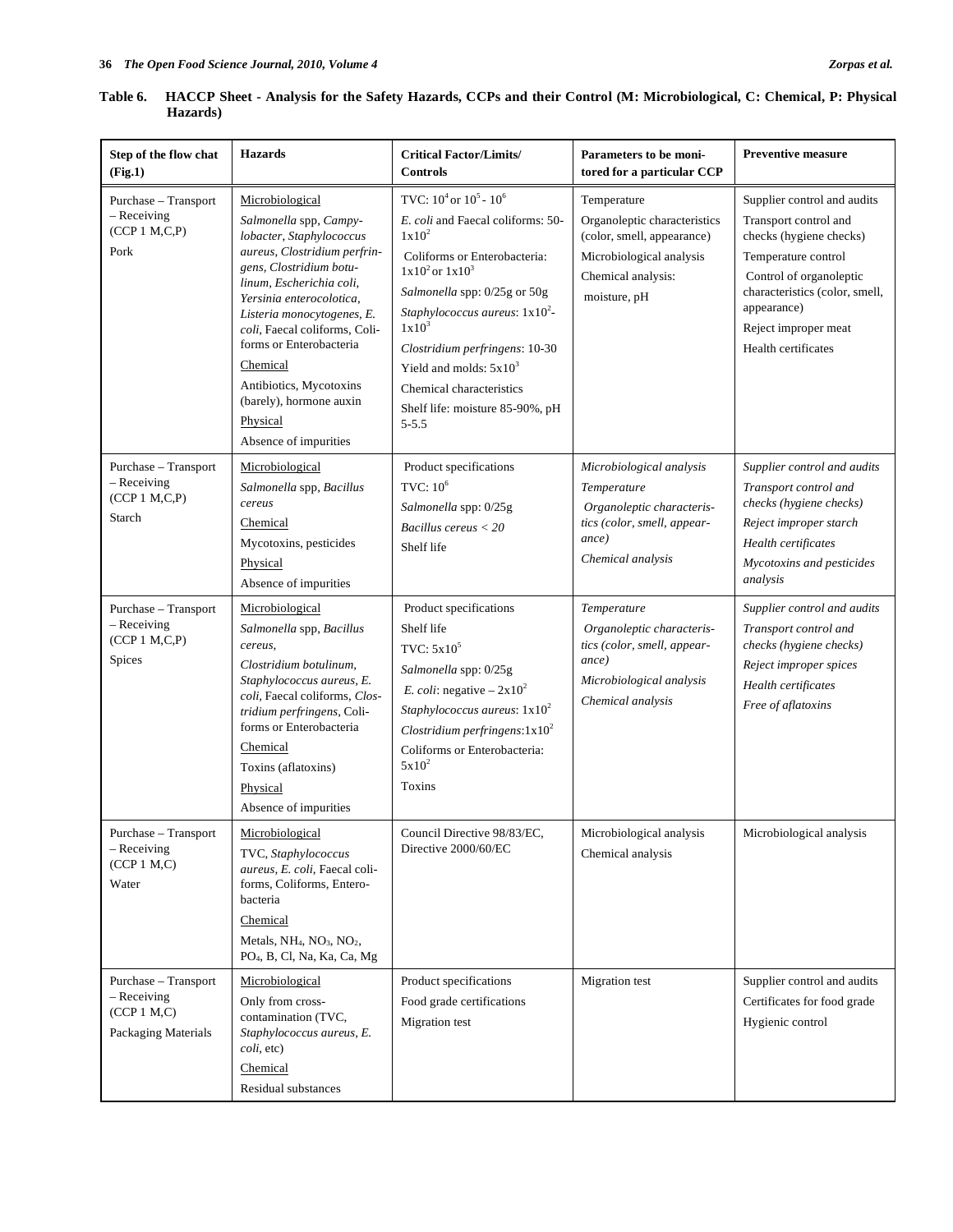| Step of the flow chat<br>(Fig.1)                                            | <b>Hazards</b>                                                                                                                                                                                                                                                                                                                                                                            | <b>Critical Factor/Limits/</b><br><b>Controls</b>                                                                                                                                                                                                                                                                                                                   | Parameters to be moni-<br>tored for a particular CCP                                                                                        | <b>Preventive measure</b>                                                                                                                                                                                                         |
|-----------------------------------------------------------------------------|-------------------------------------------------------------------------------------------------------------------------------------------------------------------------------------------------------------------------------------------------------------------------------------------------------------------------------------------------------------------------------------------|---------------------------------------------------------------------------------------------------------------------------------------------------------------------------------------------------------------------------------------------------------------------------------------------------------------------------------------------------------------------|---------------------------------------------------------------------------------------------------------------------------------------------|-----------------------------------------------------------------------------------------------------------------------------------------------------------------------------------------------------------------------------------|
| Purchase - Transport<br>- Receiving<br>(CCP 1 M,C,P)<br>Pork                | Microbiological<br>Salmonella spp, Campy-<br>lobacter, Staphylococcus<br>aureus, Clostridium perfrin-<br>gens, Clostridium botu-<br>linum, Escherichia coli,<br>Yersinia enterocolotica,<br>Listeria monocytogenes, E.<br>coli, Faecal coliforms, Coli-<br>forms or Enterobacteria<br>Chemical<br>Antibiotics, Mycotoxins<br>(barely), hormone auxin<br>Physical<br>Absence of impurities | TVC: $10^4$ or $10^5$ - $10^6$<br>E. coli and Faecal coliforms: 50-<br>$1x10^2$<br>Coliforms or Enterobacteria:<br>$1x10^2$ or $1x10^3$<br>Salmonella spp: 0/25g or 50g<br>Staphylococcus aureus: $1x10^2$ -<br>$1x10^3$<br>Clostridium perfringens: 10-30<br>Yield and molds: $5x10^3$<br>Chemical characteristics<br>Shelf life: moisture 85-90%, pH<br>$5 - 5.5$ | Temperature<br>Organoleptic characteristics<br>(color, smell, appearance)<br>Microbiological analysis<br>Chemical analysis:<br>moisture, pH | Supplier control and audits<br>Transport control and<br>checks (hygiene checks)<br>Temperature control<br>Control of organoleptic<br>characteristics (color, smell,<br>appearance)<br>Reject improper meat<br>Health certificates |
| Purchase - Transport<br>- Receiving<br>(CCP 1 M,C,P)<br>Starch              | Microbiological<br>Salmonella spp, Bacillus<br>cereus<br>Chemical<br>Mycotoxins, pesticides<br>Physical<br>Absence of impurities                                                                                                                                                                                                                                                          | Product specifications<br>TVC: $10^6$<br>Salmonella spp: 0/25g<br>Bacillus cereus $<$ 20<br>Shelf life                                                                                                                                                                                                                                                              | Microbiological analysis<br>Temperature<br>Organoleptic characteris-<br>tics (color, smell, appear-<br>ance)<br>Chemical analysis           | Supplier control and audits<br>Transport control and<br>checks (hygiene checks)<br>Reject improper starch<br>Health certificates<br>Mycotoxins and pesticides<br>analysis                                                         |
| Purchase - Transport<br>$-$ Receiving<br>(CCP 1 M,C,P)<br>Spices            | Microbiological<br>Salmonella spp, Bacillus<br>cereus,<br>Clostridium botulinum,<br>Staphylococcus aureus, E.<br>coli, Faecal coliforms, Clos-<br>tridium perfringens, Coli-<br>forms or Enterobacteria<br>Chemical<br>Toxins (aflatoxins)<br>Physical<br>Absence of impurities                                                                                                           | Product specifications<br>Shelf life<br>TVC: $5x10^5$<br>Salmonella spp: 0/25g<br><i>E. coli:</i> negative $-2x10^2$<br>Staphylococcus aureus: $1x10^2$<br>Clostridium perfringens: $1x10^2$<br>Coliforms or Enterobacteria:<br>$5x10^2$<br>Toxins                                                                                                                  | Temperature<br>Organoleptic characteris-<br>tics (color, smell, appear-<br>ance)<br>Microbiological analysis<br>Chemical analysis           | Supplier control and audits<br>Transport control and<br>checks (hygiene checks)<br>Reject improper spices<br>Health certificates<br>Free of aflatoxins                                                                            |
| Purchase - Transport<br>$-$ Receiving<br>(CCP 1 M,C)<br>Water               | Microbiological<br>TVC, Staphylococcus<br>aureus, E. coli, Faecal coli-<br>forms, Coliforms, Entero-<br>bacteria<br>Chemical<br>Metals, NH <sub>4</sub> , NO <sub>3</sub> , NO <sub>2</sub> ,<br>PO <sub>4</sub> , B, Cl, Na, Ka, Ca, Mg                                                                                                                                                  | Council Directive 98/83/EC,<br>Directive 2000/60/EC                                                                                                                                                                                                                                                                                                                 | Microbiological analysis<br>Chemical analysis                                                                                               | Microbiological analysis                                                                                                                                                                                                          |
| Purchase - Transport<br>$-$ Receiving<br>(CCP 1 M,C)<br>Packaging Materials | Microbiological<br>Only from cross-<br>contamination (TVC,<br>Staphylococcus aureus, E.<br><i>coli</i> , etc)<br>Chemical<br>Residual substances                                                                                                                                                                                                                                          | Product specifications<br>Food grade certifications<br>Migration test                                                                                                                                                                                                                                                                                               | Migration test                                                                                                                              | Supplier control and audits<br>Certificates for food grade<br>Hygienic control                                                                                                                                                    |

## **Table 6. HACCP Sheet - Analysis for the Safety Hazards, CCPs and their Control (M: Microbiological, C: Chemical, P: Physical Hazards)**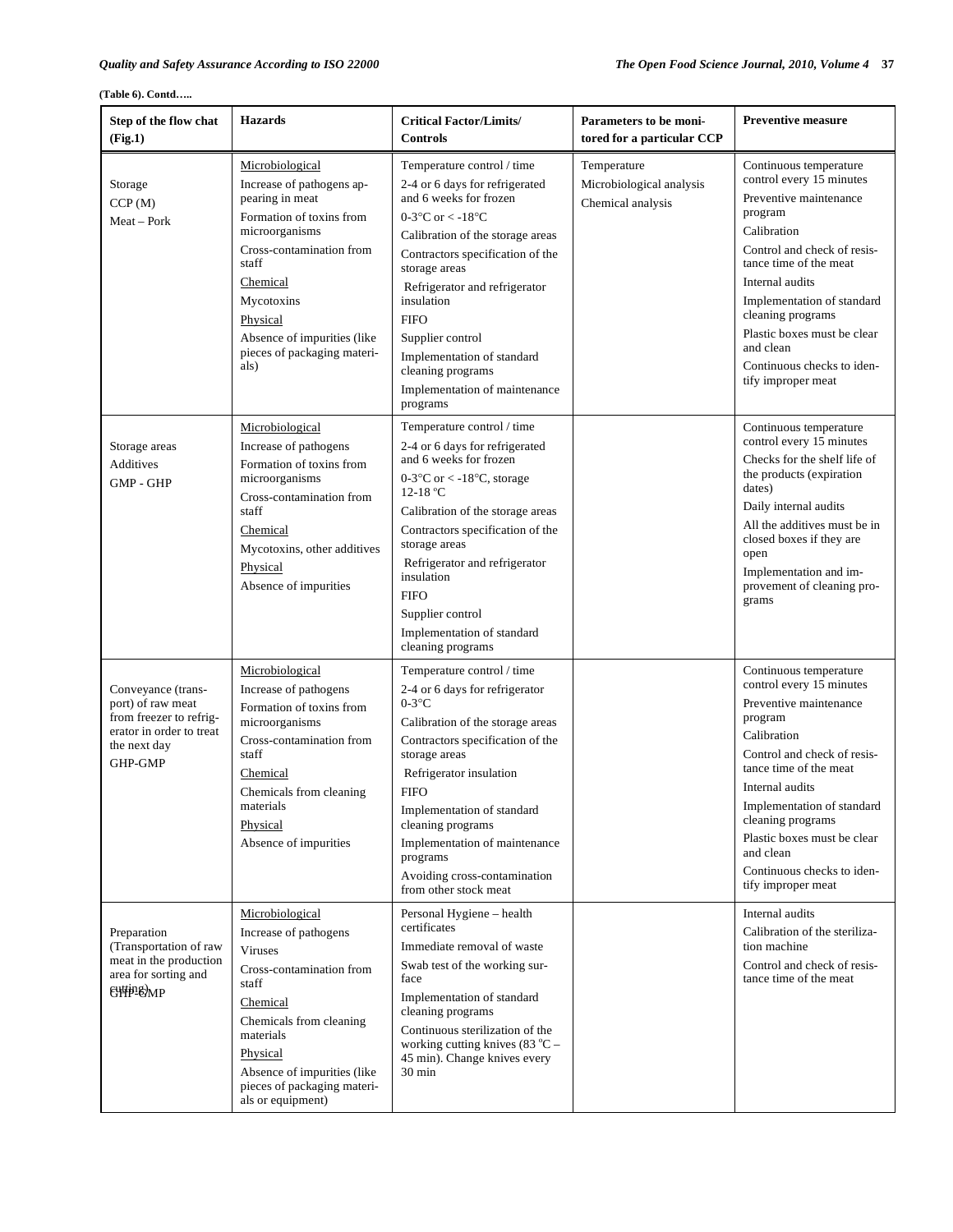| Step of the flow chat<br>(Fig.1)                                                                                          | <b>Hazards</b>                                                                                                                                                                                                                                                 | <b>Critical Factor/Limits/</b><br><b>Controls</b>                                                                                                                                                                                                                                                                                                                                                                           | Parameters to be moni-<br>tored for a particular CCP         | <b>Preventive measure</b>                                                                                                                                                                                                                                                                                                             |
|---------------------------------------------------------------------------------------------------------------------------|----------------------------------------------------------------------------------------------------------------------------------------------------------------------------------------------------------------------------------------------------------------|-----------------------------------------------------------------------------------------------------------------------------------------------------------------------------------------------------------------------------------------------------------------------------------------------------------------------------------------------------------------------------------------------------------------------------|--------------------------------------------------------------|---------------------------------------------------------------------------------------------------------------------------------------------------------------------------------------------------------------------------------------------------------------------------------------------------------------------------------------|
| Storage<br>CCP(M)<br>Meat – Pork                                                                                          | Microbiological<br>Increase of pathogens ap-<br>pearing in meat<br>Formation of toxins from<br>microorganisms<br>Cross-contamination from<br>staff<br>Chemical<br>Mycotoxins<br>Physical<br>Absence of impurities (like<br>pieces of packaging materi-<br>als) | Temperature control / time<br>2-4 or 6 days for refrigerated<br>and 6 weeks for frozen<br>0-3 $\mathrm{^{\circ}C}$ or < -18 $\mathrm{^{\circ}C}$<br>Calibration of the storage areas<br>Contractors specification of the<br>storage areas<br>Refrigerator and refrigerator<br>insulation<br><b>FIFO</b><br>Supplier control<br>Implementation of standard<br>cleaning programs<br>Implementation of maintenance<br>programs | Temperature<br>Microbiological analysis<br>Chemical analysis | Continuous temperature<br>control every 15 minutes<br>Preventive maintenance<br>program<br>Calibration<br>Control and check of resis-<br>tance time of the meat<br>Internal audits<br>Implementation of standard<br>cleaning programs<br>Plastic boxes must be clear<br>and clean<br>Continuous checks to iden-<br>tify improper meat |
| Storage areas<br>Additives<br><b>GMP - GHP</b>                                                                            | Microbiological<br>Increase of pathogens<br>Formation of toxins from<br>microorganisms<br>Cross-contamination from<br>staff<br>Chemical<br>Mycotoxins, other additives<br>Physical<br>Absence of impurities                                                    | Temperature control / time<br>2-4 or 6 days for refrigerated<br>and 6 weeks for frozen<br>0-3 $\degree$ C or < -18 $\degree$ C, storage<br>12-18 °C<br>Calibration of the storage areas<br>Contractors specification of the<br>storage areas<br>Refrigerator and refrigerator<br>insulation<br><b>FIFO</b><br>Supplier control<br>Implementation of standard<br>cleaning programs                                           |                                                              | Continuous temperature<br>control every 15 minutes<br>Checks for the shelf life of<br>the products (expiration<br>dates)<br>Daily internal audits<br>All the additives must be in<br>closed boxes if they are<br>open<br>Implementation and im-<br>provement of cleaning pro-<br>grams                                                |
| Conveyance (trans-<br>port) of raw meat<br>from freezer to refrig-<br>erator in order to treat<br>the next day<br>GHP-GMP | Microbiological<br>Increase of pathogens<br>Formation of toxins from<br>microorganisms<br>Cross-contamination from<br>staff<br>Chemical<br>Chemicals from cleaning<br>materials<br>Physical<br>Absence of impurities                                           | Temperature control / time<br>2-4 or 6 days for refrigerator<br>$0-3$ °C<br>Calibration of the storage areas<br>Contractors specification of the<br>storage areas<br>Refrigerator insulation<br><b>FIFO</b><br>Implementation of standard<br>cleaning programs<br>Implementation of maintenance<br>programs<br>Avoiding cross-contamination<br>from other stock meat                                                        |                                                              | Continuous temperature<br>control every 15 minutes<br>Preventive maintenance<br>program<br>Calibration<br>Control and check of resis-<br>tance time of the meat<br>Internal audits<br>Implementation of standard<br>cleaning programs<br>Plastic boxes must be clear<br>and clean<br>Continuous checks to iden-<br>tify improper meat |
| Preparation<br>(Transportation of raw<br>meat in the production<br>area for sorting and<br><b>€∰РЕ∂МР</b>                 | Microbiological<br>Increase of pathogens<br><b>Viruses</b><br>Cross-contamination from<br>staff<br>Chemical<br>Chemicals from cleaning<br>materials<br>Physical<br>Absence of impurities (like<br>pieces of packaging materi-<br>als or equipment)             | Personal Hygiene - health<br>certificates<br>Immediate removal of waste<br>Swab test of the working sur-<br>face<br>Implementation of standard<br>cleaning programs<br>Continuous sterilization of the<br>working cutting knives $(83 °C -$<br>45 min). Change knives every<br>$30 \text{ min}$                                                                                                                             |                                                              | Internal audits<br>Calibration of the steriliza-<br>tion machine<br>Control and check of resis-<br>tance time of the meat                                                                                                                                                                                                             |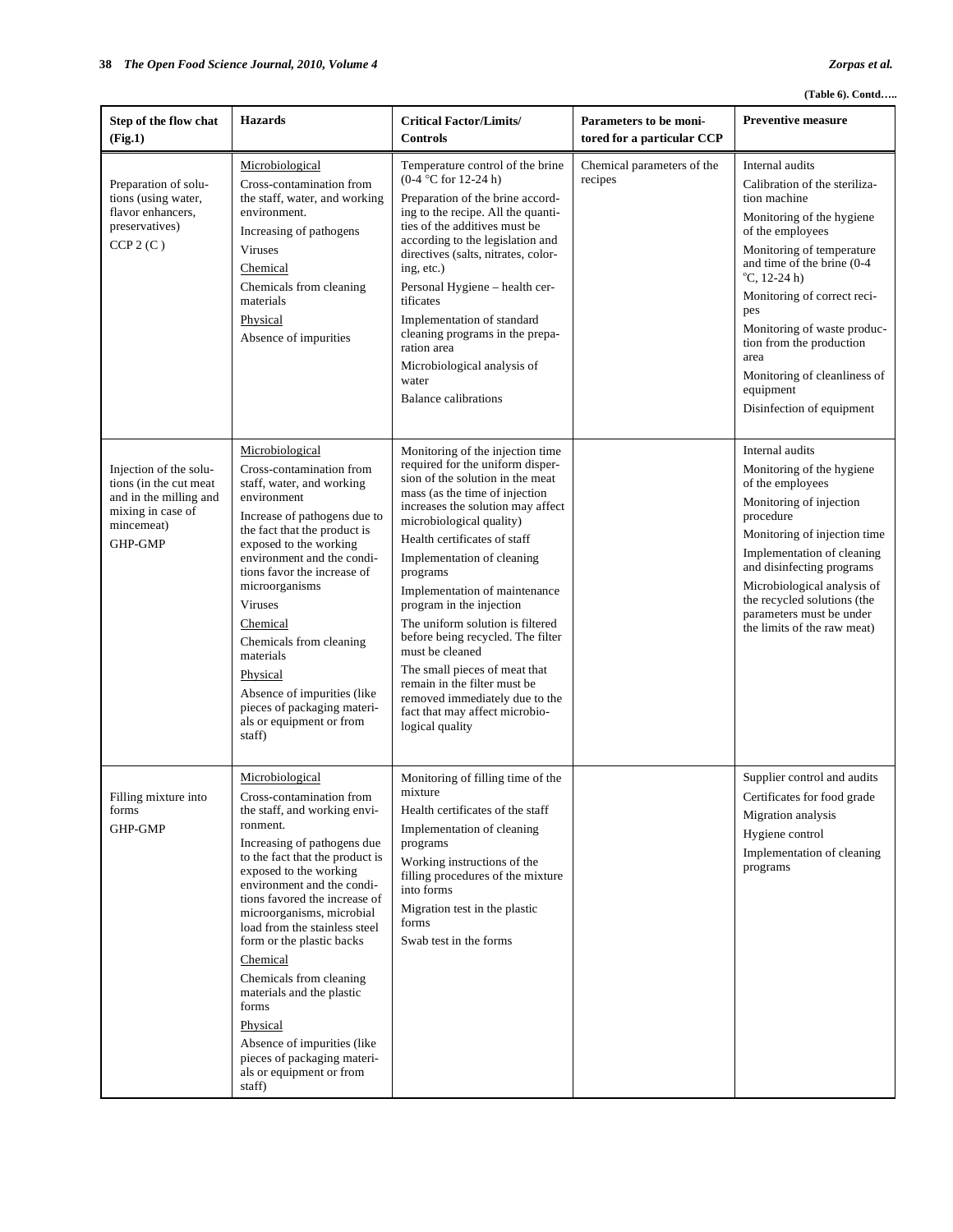| Step of the flow chat<br>(Fig.1)                                                                                         | <b>Hazards</b>                                                                                                                                                                                                                                                                                                                                                                                                                                                                                                                             | <b>Critical Factor/Limits/</b><br><b>Controls</b>                                                                                                                                                                                                                                                                                                                                                                                                                                                                                                                                                      | <b>Parameters to be moni-</b><br>tored for a particular CCP | <b>Preventive measure</b>                                                                                                                                                                                                                                                                                                                                                                  |
|--------------------------------------------------------------------------------------------------------------------------|--------------------------------------------------------------------------------------------------------------------------------------------------------------------------------------------------------------------------------------------------------------------------------------------------------------------------------------------------------------------------------------------------------------------------------------------------------------------------------------------------------------------------------------------|--------------------------------------------------------------------------------------------------------------------------------------------------------------------------------------------------------------------------------------------------------------------------------------------------------------------------------------------------------------------------------------------------------------------------------------------------------------------------------------------------------------------------------------------------------------------------------------------------------|-------------------------------------------------------------|--------------------------------------------------------------------------------------------------------------------------------------------------------------------------------------------------------------------------------------------------------------------------------------------------------------------------------------------------------------------------------------------|
| Preparation of solu-<br>tions (using water,<br>flavor enhancers,<br>preservatives)<br>CCP2(C)                            | Microbiological<br>Cross-contamination from<br>the staff, water, and working<br>environment.<br>Increasing of pathogens<br><b>Viruses</b><br>Chemical<br>Chemicals from cleaning<br>materials<br>Physical<br>Absence of impurities                                                                                                                                                                                                                                                                                                         | Temperature control of the brine<br>$(0-4 °C)$ for 12-24 h)<br>Preparation of the brine accord-<br>ing to the recipe. All the quanti-<br>ties of the additives must be<br>according to the legislation and<br>directives (salts, nitrates, color-<br>ing, etc.)<br>Personal Hygiene - health cer-<br>tificates<br>Implementation of standard<br>cleaning programs in the prepa-<br>ration area<br>Microbiological analysis of<br>water<br><b>Balance calibrations</b>                                                                                                                                  | Chemical parameters of the<br>recipes                       | Internal audits<br>Calibration of the steriliza-<br>tion machine<br>Monitoring of the hygiene<br>of the employees<br>Monitoring of temperature<br>and time of the brine (0-4)<br>$^{\circ}$ C, 12-24 h)<br>Monitoring of correct reci-<br>pes<br>Monitoring of waste produc-<br>tion from the production<br>area<br>Monitoring of cleanliness of<br>equipment<br>Disinfection of equipment |
| Injection of the solu-<br>tions (in the cut meat<br>and in the milling and<br>mixing in case of<br>mincemeat)<br>GHP-GMP | Microbiological<br>Cross-contamination from<br>staff, water, and working<br>environment<br>Increase of pathogens due to<br>the fact that the product is<br>exposed to the working<br>environment and the condi-<br>tions favor the increase of<br>microorganisms<br><b>Viruses</b><br>Chemical<br>Chemicals from cleaning<br>materials<br>Physical<br>Absence of impurities (like<br>pieces of packaging materi-<br>als or equipment or from<br>staff)                                                                                     | Monitoring of the injection time<br>required for the uniform disper-<br>sion of the solution in the meat<br>mass (as the time of injection<br>increases the solution may affect<br>microbiological quality)<br>Health certificates of staff<br>Implementation of cleaning<br>programs<br>Implementation of maintenance<br>program in the injection<br>The uniform solution is filtered<br>before being recycled. The filter<br>must be cleaned<br>The small pieces of meat that<br>remain in the filter must be<br>removed immediately due to the<br>fact that may affect microbio-<br>logical quality |                                                             | Internal audits<br>Monitoring of the hygiene<br>of the employees<br>Monitoring of injection<br>procedure<br>Monitoring of injection time<br>Implementation of cleaning<br>and disinfecting programs<br>Microbiological analysis of<br>the recycled solutions (the<br>parameters must be under<br>the limits of the raw meat)                                                               |
| Filling mixture into<br>forms<br>GHP-GMP                                                                                 | Microbiological<br>Cross-contamination from<br>the staff, and working envi-<br>ronment.<br>Increasing of pathogens due<br>to the fact that the product is<br>exposed to the working<br>environment and the condi-<br>tions favored the increase of<br>microorganisms, microbial<br>load from the stainless steel<br>form or the plastic backs<br>Chemical<br>Chemicals from cleaning<br>materials and the plastic<br>forms<br>Physical<br>Absence of impurities (like<br>pieces of packaging materi-<br>als or equipment or from<br>staff) | Monitoring of filling time of the<br>mixture<br>Health certificates of the staff<br>Implementation of cleaning<br>programs<br>Working instructions of the<br>filling procedures of the mixture<br>into forms<br>Migration test in the plastic<br>forms<br>Swab test in the forms                                                                                                                                                                                                                                                                                                                       |                                                             | Supplier control and audits<br>Certificates for food grade<br>Migration analysis<br>Hygiene control<br>Implementation of cleaning<br>programs                                                                                                                                                                                                                                              |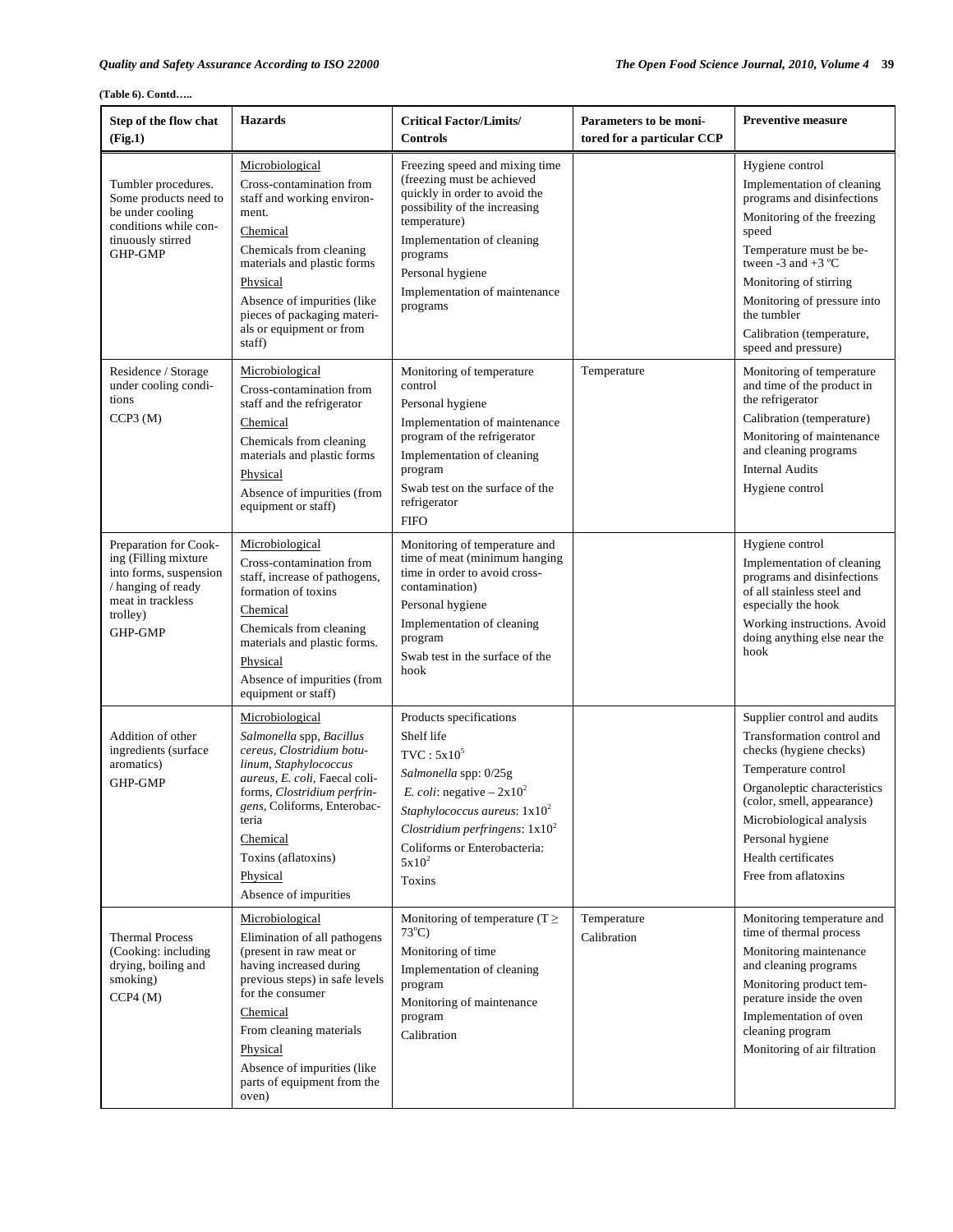| Step of the flow chat<br>(Fig.1)                                                                                                          | <b>Hazards</b>                                                                                                                                                                                                                                                                            | <b>Critical Factor/Limits/</b><br>Controls                                                                                                                                                                                                                | Parameters to be moni-<br>tored for a particular CCP | <b>Preventive measure</b>                                                                                                                                                                                                                                                                                 |
|-------------------------------------------------------------------------------------------------------------------------------------------|-------------------------------------------------------------------------------------------------------------------------------------------------------------------------------------------------------------------------------------------------------------------------------------------|-----------------------------------------------------------------------------------------------------------------------------------------------------------------------------------------------------------------------------------------------------------|------------------------------------------------------|-----------------------------------------------------------------------------------------------------------------------------------------------------------------------------------------------------------------------------------------------------------------------------------------------------------|
| Tumbler procedures.<br>Some products need to<br>be under cooling<br>conditions while con-<br>tinuously stirred<br>GHP-GMP                 | Microbiological<br>Cross-contamination from<br>staff and working environ-<br>ment.<br>Chemical<br>Chemicals from cleaning<br>materials and plastic forms<br>Physical<br>Absence of impurities (like<br>pieces of packaging materi-<br>als or equipment or from<br>staff)                  | Freezing speed and mixing time<br>(freezing must be achieved<br>quickly in order to avoid the<br>possibility of the increasing<br>temperature)<br>Implementation of cleaning<br>programs<br>Personal hygiene<br>Implementation of maintenance<br>programs |                                                      | Hygiene control<br>Implementation of cleaning<br>programs and disinfections<br>Monitoring of the freezing<br>speed<br>Temperature must be be-<br>tween -3 and +3 $^{\circ}$ C<br>Monitoring of stirring<br>Monitoring of pressure into<br>the tumbler<br>Calibration (temperature,<br>speed and pressure) |
| Residence / Storage<br>under cooling condi-<br>tions<br>CCP3(M)                                                                           | Microbiological<br>Cross-contamination from<br>staff and the refrigerator<br>Chemical<br>Chemicals from cleaning<br>materials and plastic forms<br>Physical<br>Absence of impurities (from<br>equipment or staff)                                                                         | Monitoring of temperature<br>control<br>Personal hygiene<br>Implementation of maintenance<br>program of the refrigerator<br>Implementation of cleaning<br>program<br>Swab test on the surface of the<br>refrigerator<br><b>FIFO</b>                       | Temperature                                          | Monitoring of temperature<br>and time of the product in<br>the refrigerator<br>Calibration (temperature)<br>Monitoring of maintenance<br>and cleaning programs<br><b>Internal Audits</b><br>Hygiene control                                                                                               |
| Preparation for Cook-<br>ing (Filling mixture<br>into forms, suspension<br>/ hanging of ready<br>meat in trackless<br>trolley)<br>GHP-GMP | Microbiological<br>Cross-contamination from<br>staff, increase of pathogens,<br>formation of toxins<br>Chemical<br>Chemicals from cleaning<br>materials and plastic forms.<br>Physical<br>Absence of impurities (from<br>equipment or staff)                                              | Monitoring of temperature and<br>time of meat (minimum hanging)<br>time in order to avoid cross-<br>contamination)<br>Personal hygiene<br>Implementation of cleaning<br>program<br>Swab test in the surface of the<br>hook                                |                                                      | Hygiene control<br>Implementation of cleaning<br>programs and disinfections<br>of all stainless steel and<br>especially the hook<br>Working instructions. Avoid<br>doing anything else near the<br>hook                                                                                                   |
| Addition of other<br>ingredients (surface)<br>aromatics)<br><b>GHP-GMP</b>                                                                | Microbiological<br>Salmonella spp, Bacillus<br>cereus, Clostridium botu-<br>linum, Staphylococcus<br>aureus, E. coli, Faecal coli-<br>forms, Clostridium perfrin-<br><i>gens</i> , Coliforms, Enterobac-<br>teria<br>Chemical<br>Toxins (aflatoxins)<br>Physical<br>Absence of impurities | Products specifications<br>Shelf life<br>$TVC: 5x10^5$<br>Salmonella spp: 0/25g<br><i>E. coli:</i> negative $-2x10^2$<br>Staphylococcus aureus: $1x10^2$<br>Clostridium perfringens: $1x10^2$<br>Coliforms or Enterobacteria:<br>$5x10^2$<br>Toxins       |                                                      | Supplier control and audits<br>Transformation control and<br>checks (hygiene checks)<br>Temperature control<br>Organoleptic characteristics<br>(color, smell, appearance)<br>Microbiological analysis<br>Personal hygiene<br>Health certificates<br>Free from aflatoxins                                  |
| <b>Thermal Process</b><br>(Cooking: including<br>drying, boiling and<br>smoking)<br>CCP4 (M)                                              | Microbiological<br>Elimination of all pathogens<br>(present in raw meat or<br>having increased during<br>previous steps) in safe levels<br>for the consumer<br>Chemical<br>From cleaning materials<br>Physical<br>Absence of impurities (like<br>parts of equipment from the<br>oven)     | Monitoring of temperature ( $T \geq$<br>$73^{\circ}$ C)<br>Monitoring of time<br>Implementation of cleaning<br>program<br>Monitoring of maintenance<br>program<br>Calibration                                                                             | Temperature<br>Calibration                           | Monitoring temperature and<br>time of thermal process<br>Monitoring maintenance<br>and cleaning programs<br>Monitoring product tem-<br>perature inside the oven<br>Implementation of oven<br>cleaning program<br>Monitoring of air filtration                                                             |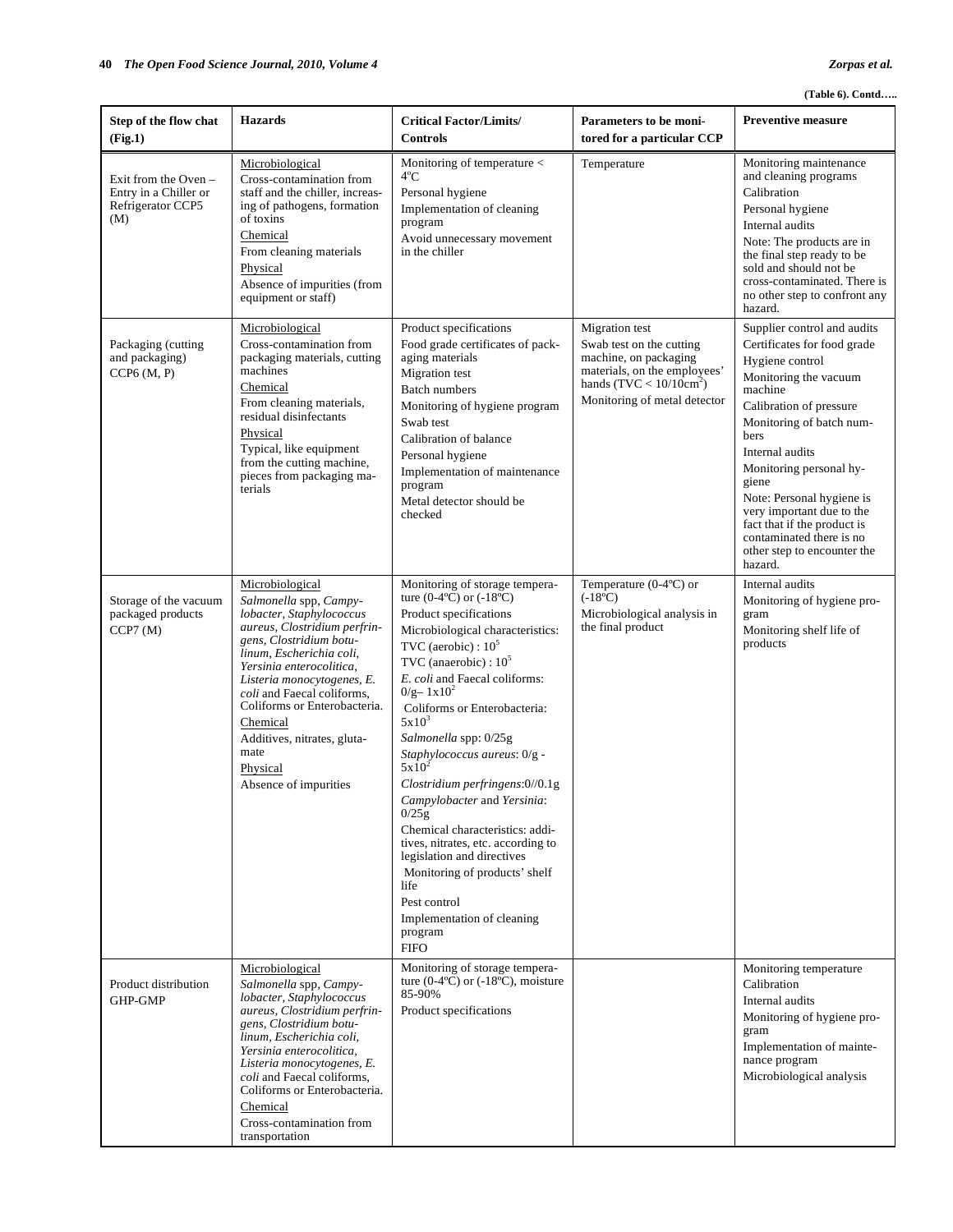| Step of the flow chat<br>(Fig.1)                                            | <b>Hazards</b>                                                                                                                                                                                                                                                                                                                                                               | <b>Critical Factor/Limits/</b><br><b>Controls</b>                                                                                                                                                                                                                                                                                                                                                                                                                                                                                                                                                                                                                                  | Parameters to be moni-<br>tored for a particular CCP                                                                                                                   | <b>Preventive measure</b>                                                                                                                                                                                                                                                                                                                                                                              |
|-----------------------------------------------------------------------------|------------------------------------------------------------------------------------------------------------------------------------------------------------------------------------------------------------------------------------------------------------------------------------------------------------------------------------------------------------------------------|------------------------------------------------------------------------------------------------------------------------------------------------------------------------------------------------------------------------------------------------------------------------------------------------------------------------------------------------------------------------------------------------------------------------------------------------------------------------------------------------------------------------------------------------------------------------------------------------------------------------------------------------------------------------------------|------------------------------------------------------------------------------------------------------------------------------------------------------------------------|--------------------------------------------------------------------------------------------------------------------------------------------------------------------------------------------------------------------------------------------------------------------------------------------------------------------------------------------------------------------------------------------------------|
| Exit from the Oven $-$<br>Entry in a Chiller or<br>Refrigerator CCP5<br>(M) | Microbiological<br>Cross-contamination from<br>staff and the chiller, increas-<br>ing of pathogens, formation<br>of toxins<br>Chemical<br>From cleaning materials<br>Physical<br>Absence of impurities (from<br>equipment or staff)                                                                                                                                          | Monitoring of temperature $\lt$<br>4°C<br>Personal hygiene<br>Implementation of cleaning<br>program<br>Avoid unnecessary movement<br>in the chiller                                                                                                                                                                                                                                                                                                                                                                                                                                                                                                                                | Temperature                                                                                                                                                            | Monitoring maintenance<br>and cleaning programs<br>Calibration<br>Personal hygiene<br>Internal audits<br>Note: The products are in<br>the final step ready to be<br>sold and should not be<br>cross-contaminated. There is<br>no other step to confront any<br>hazard.                                                                                                                                 |
| Packaging (cutting<br>and packaging)<br>CCP6(M, P)                          | Microbiological<br>Cross-contamination from<br>packaging materials, cutting<br>machines<br>Chemical<br>From cleaning materials,<br>residual disinfectants<br>Physical<br>Typical, like equipment<br>from the cutting machine,<br>pieces from packaging ma-<br>terials                                                                                                        | Product specifications<br>Food grade certificates of pack-<br>aging materials<br>Migration test<br><b>Batch numbers</b><br>Monitoring of hygiene program<br>Swab test<br>Calibration of balance<br>Personal hygiene<br>Implementation of maintenance<br>program<br>Metal detector should be<br>checked                                                                                                                                                                                                                                                                                                                                                                             | <b>Migration</b> test<br>Swab test on the cutting<br>machine, on packaging<br>materials, on the employees'<br>hands $(TVC < 10/10cm2)$<br>Monitoring of metal detector | Supplier control and audits<br>Certificates for food grade<br>Hygiene control<br>Monitoring the vacuum<br>machine<br>Calibration of pressure<br>Monitoring of batch num-<br>bers<br>Internal audits<br>Monitoring personal hy-<br>giene<br>Note: Personal hygiene is<br>very important due to the<br>fact that if the product is<br>contaminated there is no<br>other step to encounter the<br>hazard. |
| Storage of the vacuum<br>packaged products<br>CCP7(M)                       | Microbiological<br>Salmonella spp, Campy-<br>lobacter, Staphylococcus<br>aureus, Clostridium perfrin-<br>gens, Clostridium botu-<br>linum, Escherichia coli,<br>Yersinia enterocolitica,<br>Listeria monocytogenes, E.<br>coli and Faecal coliforms.<br>Coliforms or Enterobacteria.<br>Chemical<br>Additives, nitrates, gluta-<br>mate<br>Physical<br>Absence of impurities | Monitoring of storage tempera-<br>ture $(0-4$ <sup>o</sup> C) or $(-18$ <sup>o</sup> C)<br>Product specifications<br>Microbiological characteristics:<br>TVC (aerobic) : $10^5$<br>TVC (anaerobic) : $10^5$<br>E. coli and Faecal coliforms:<br>$0/g - 1x10^2$<br>Coliforms or Enterobacteria:<br>$5x10^3$<br>Salmonella spp: 0/25g<br>Staphylococcus aureus: 0/g -<br>$5x10^2$<br>Clostridium perfringens:0//0.1g<br>Campylobacter and Yersinia:<br>0/25g<br>Chemical characteristics: addi-<br>tives, nitrates, etc. according to<br>legislation and directives<br>Monitoring of products' shelf<br>life<br>Pest control<br>Implementation of cleaning<br>program<br><b>FIFO</b> | Temperature $(0-4$ <sup>o</sup> C) or<br>$(-18^{\circ}C)$<br>Microbiological analysis in<br>the final product                                                          | Internal audits<br>Monitoring of hygiene pro-<br>gram<br>Monitoring shelf life of<br>products                                                                                                                                                                                                                                                                                                          |
| Product distribution<br>GHP-GMP                                             | Microbiological<br>Salmonella spp, Campy-<br>lobacter, Staphylococcus<br>aureus, Clostridium perfrin-<br>gens, Clostridium botu-<br>linum, Escherichia coli,<br>Yersinia enterocolitica,<br>Listeria monocytogenes, E.<br>coli and Faecal coliforms,<br>Coliforms or Enterobacteria.<br>Chemical<br>Cross-contamination from<br>transportation                               | Monitoring of storage tempera-<br>ture $(0-4$ °C) or $(-18$ °C), moisture<br>85-90%<br>Product specifications                                                                                                                                                                                                                                                                                                                                                                                                                                                                                                                                                                      |                                                                                                                                                                        | Monitoring temperature<br>Calibration<br>Internal audits<br>Monitoring of hygiene pro-<br>gram<br>Implementation of mainte-<br>nance program<br>Microbiological analysis                                                                                                                                                                                                                               |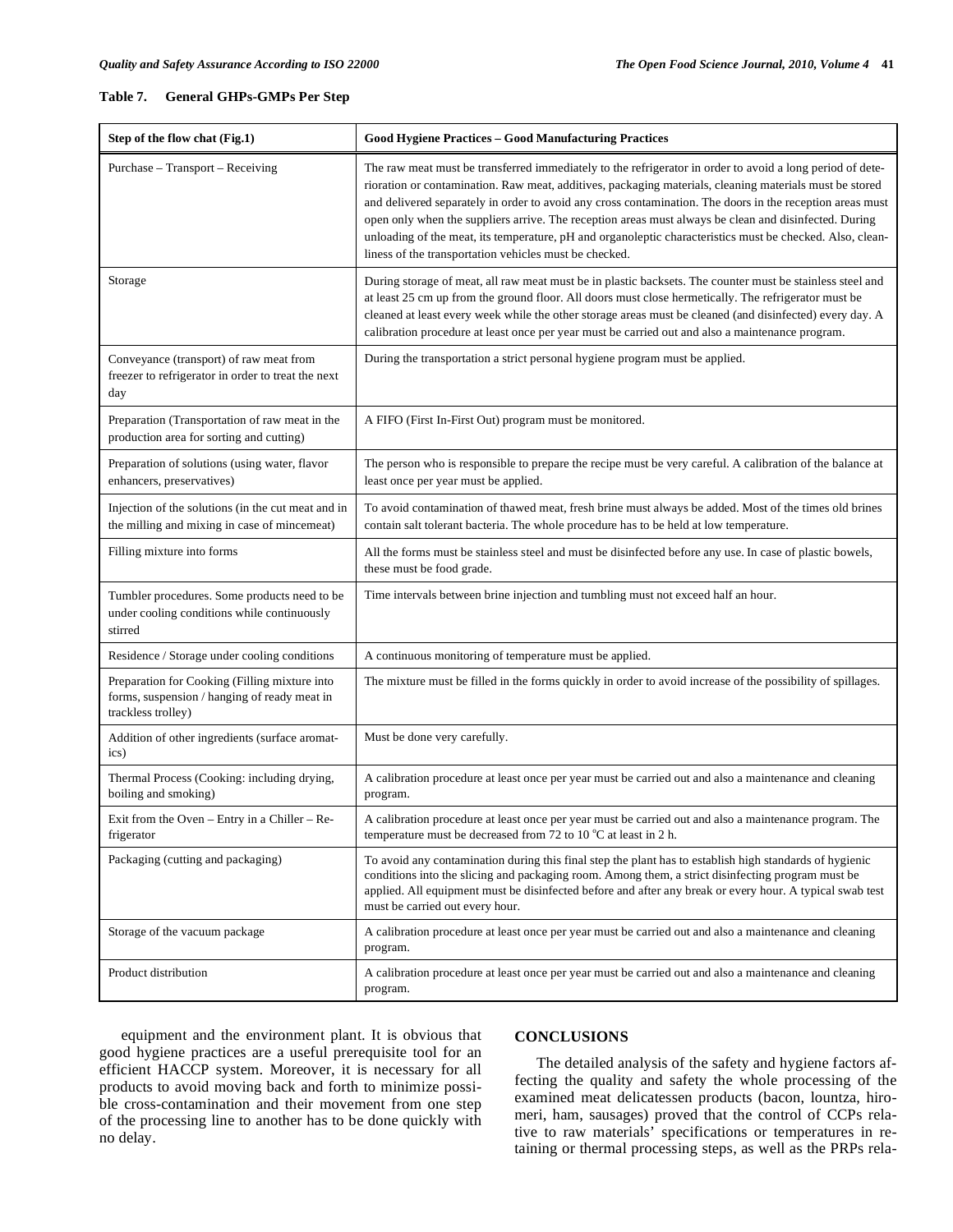#### **Table 7. General GHPs-GMPs Per Step**

| Step of the flow chat (Fig.1)                                                                                       | <b>Good Hygiene Practices - Good Manufacturing Practices</b>                                                                                                                                                                                                                                                                                                                                                                                                                                                                                                                                                      |
|---------------------------------------------------------------------------------------------------------------------|-------------------------------------------------------------------------------------------------------------------------------------------------------------------------------------------------------------------------------------------------------------------------------------------------------------------------------------------------------------------------------------------------------------------------------------------------------------------------------------------------------------------------------------------------------------------------------------------------------------------|
| Purchase - Transport - Receiving                                                                                    | The raw meat must be transferred immediately to the refrigerator in order to avoid a long period of dete-<br>rioration or contamination. Raw meat, additives, packaging materials, cleaning materials must be stored<br>and delivered separately in order to avoid any cross contamination. The doors in the reception areas must<br>open only when the suppliers arrive. The reception areas must always be clean and disinfected. During<br>unloading of the meat, its temperature, pH and organoleptic characteristics must be checked. Also, clean-<br>liness of the transportation vehicles must be checked. |
| Storage                                                                                                             | During storage of meat, all raw meat must be in plastic backsets. The counter must be stainless steel and<br>at least 25 cm up from the ground floor. All doors must close hermetically. The refrigerator must be<br>cleaned at least every week while the other storage areas must be cleaned (and disinfected) every day. A<br>calibration procedure at least once per year must be carried out and also a maintenance program.                                                                                                                                                                                 |
| Conveyance (transport) of raw meat from<br>freezer to refrigerator in order to treat the next<br>day                | During the transportation a strict personal hygiene program must be applied.                                                                                                                                                                                                                                                                                                                                                                                                                                                                                                                                      |
| Preparation (Transportation of raw meat in the<br>production area for sorting and cutting)                          | A FIFO (First In-First Out) program must be monitored.                                                                                                                                                                                                                                                                                                                                                                                                                                                                                                                                                            |
| Preparation of solutions (using water, flavor<br>enhancers, preservatives)                                          | The person who is responsible to prepare the recipe must be very careful. A calibration of the balance at<br>least once per year must be applied.                                                                                                                                                                                                                                                                                                                                                                                                                                                                 |
| Injection of the solutions (in the cut meat and in<br>the milling and mixing in case of mincemeat)                  | To avoid contamination of thawed meat, fresh brine must always be added. Most of the times old brines<br>contain salt tolerant bacteria. The whole procedure has to be held at low temperature.                                                                                                                                                                                                                                                                                                                                                                                                                   |
| Filling mixture into forms                                                                                          | All the forms must be stainless steel and must be disinfected before any use. In case of plastic bowels,<br>these must be food grade.                                                                                                                                                                                                                                                                                                                                                                                                                                                                             |
| Tumbler procedures. Some products need to be<br>under cooling conditions while continuously<br>stirred              | Time intervals between brine injection and tumbling must not exceed half an hour.                                                                                                                                                                                                                                                                                                                                                                                                                                                                                                                                 |
| Residence / Storage under cooling conditions                                                                        | A continuous monitoring of temperature must be applied.                                                                                                                                                                                                                                                                                                                                                                                                                                                                                                                                                           |
| Preparation for Cooking (Filling mixture into<br>forms, suspension / hanging of ready meat in<br>trackless trolley) | The mixture must be filled in the forms quickly in order to avoid increase of the possibility of spillages.                                                                                                                                                                                                                                                                                                                                                                                                                                                                                                       |
| Addition of other ingredients (surface aromat-<br>ics)                                                              | Must be done very carefully.                                                                                                                                                                                                                                                                                                                                                                                                                                                                                                                                                                                      |
| Thermal Process (Cooking: including drying,<br>boiling and smoking)                                                 | A calibration procedure at least once per year must be carried out and also a maintenance and cleaning<br>program.                                                                                                                                                                                                                                                                                                                                                                                                                                                                                                |
| Exit from the Oven $-$ Entry in a Chiller $-$ Re-<br>frigerator                                                     | A calibration procedure at least once per year must be carried out and also a maintenance program. The<br>temperature must be decreased from 72 to 10 $^{\circ}$ C at least in 2 h.                                                                                                                                                                                                                                                                                                                                                                                                                               |
| Packaging (cutting and packaging)                                                                                   | To avoid any contamination during this final step the plant has to establish high standards of hygienic<br>conditions into the slicing and packaging room. Among them, a strict disinfecting program must be<br>applied. All equipment must be disinfected before and after any break or every hour. A typical swab test<br>must be carried out every hour.                                                                                                                                                                                                                                                       |
| Storage of the vacuum package                                                                                       | A calibration procedure at least once per year must be carried out and also a maintenance and cleaning<br>program.                                                                                                                                                                                                                                                                                                                                                                                                                                                                                                |
| Product distribution                                                                                                | A calibration procedure at least once per year must be carried out and also a maintenance and cleaning<br>program.                                                                                                                                                                                                                                                                                                                                                                                                                                                                                                |

equipment and the environment plant. It is obvious that good hygiene practices are a useful prerequisite tool for an efficient HACCP system. Moreover, it is necessary for all products to avoid moving back and forth to minimize possible cross-contamination and their movement from one step of the processing line to another has to be done quickly with no delay.

#### **CONCLUSIONS**

The detailed analysis of the safety and hygiene factors affecting the quality and safety the whole processing of the examined meat delicatessen products (bacon, lountza, hiromeri, ham, sausages) proved that the control of CCPs relative to raw materials' specifications or temperatures in retaining or thermal processing steps, as well as the PRPs rela